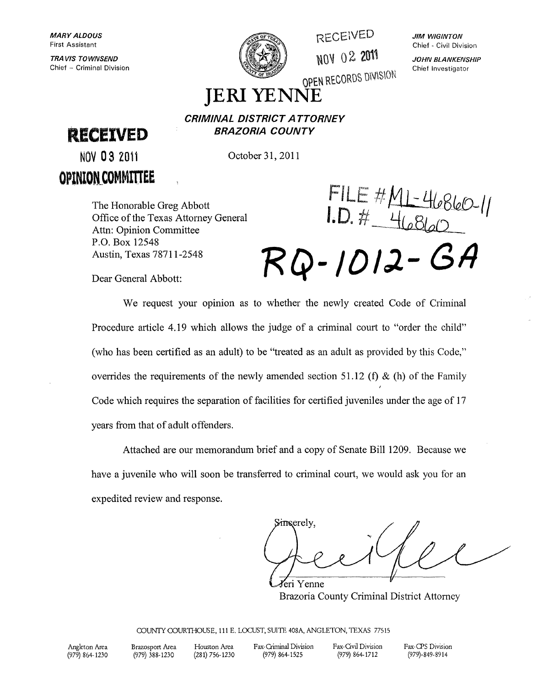TRA VIS TOWNSEND Chief - Criminal Division



RECEiVED ~Q~ 02 2011

**JIM WIGINTON** Chief - Civil Division

JOHN BLANKENSHIP Chief Investigator

OPEN RECORDS DIVISION

# **JERIYENNE**

**RECEIVED** 

**BRAZORIA COUNTY** 

**CRIMINAL DISTRICT ATTORNEY** 

NOV 03 2011 **OPINlON\_COMMmEE**  October 31,2011

The Honorable Greg Abbott Office of the Texas Attorney General Attn: Opinion Committee P.O. Box 12548 Austin, Texas 78711-2548

 $FILE#ML-46860-11$ <br> $I.D. # 46860$ 

**RQ-/DIJ- (31}** 

Dear General Abbott:

We request your opinion as to whether the newly created Code of Criminal Procedure article 4.19 which allows the judge of a criminal court to "order the child" (who has been certified as an adult) to be "treated as an adult as provided by this Code," overrides the requirements of the newly amended section 51.12 (f) & (h) of the Family Code which requires the separation of facilities for certified juveniles under the age of 17 years from that of adult offenders.

Attached are our memorandum brief and a copy of Senate Bill 1209. Because we have a juvenile who will soon be transferred to criminal court, we would ask you for an expedited review and response.

kingerely, Yeri Yenne

Brazoria County Criminal District Attorney

COUNTY COURTIIOUSE, 111 E. LOCUST, SUITE 408A, ANGLETON, TEXAS 77515

Angleton Area (979) 864-1230 Brazosport Area (979) 388-1230 Houston Area (281) 756-1230 Fax-Criminal Division (979) 864-1525 Fax-Qvil Division (979) 864-1712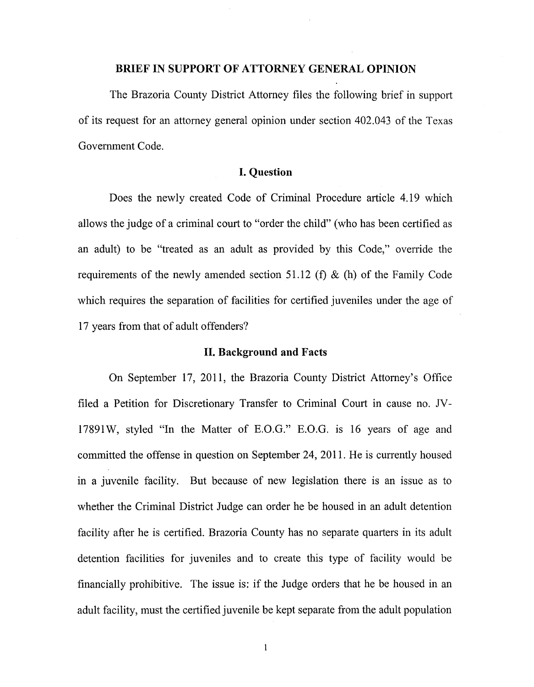#### **BRIEF IN SUPPORT OF ATTORNEY GENERAL OPINION**

The Brazoria County District Attorney files the following brief in support of its request for an attorney general opinion under section 402.043 of the Texas Government Code.

## **I. Question**

Does the newly created Code of Criminal Procedure article 4.l9 which allows the judge of a criminal court to "order the child" (who has been certified as an adult) to be "treated as an adult as provided by this Code," override the requirements of the newly amended section 51.12 (f)  $\&$  (h) of the Family Code which requires the separation of facilities for certified juveniles under the age of 17 years from that of adult offenders?

### **II. Background and Facts**

On September 17, 2011, the Brazoria County District Attorney's Office filed a Petition for Discretionary Transfer to Criminal Court in cause no. JV-17891 W, styled "In the Matter of E.O.G." E.O.G. is 16 years of age and committed the offense in question on September 24, 2011. He is currently housed in a juvenile facility. But because of new legislation there is an issue as to whether the Criminal District Judge can order he be housed in an adult detention facility after he is certified. Brazoria County has no separate quarters in its adult detention facilities for juveniles and to create this type of facility would be financially prohibitive. The issue is: if the Judge orders that he be housed in an adult facility, must the certified juvenile be kept separate from the adult population

 $\mathbf{1}$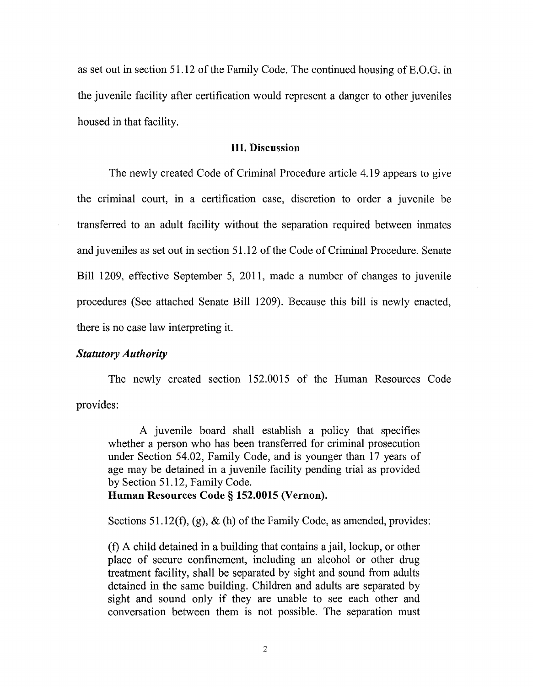as set out in section 51.12 of the Family Code. The continued housing ofE.O.G. in the juvenile facility after certification would represent a danger to other juveniles housed in that facility.

#### **III.** Discussion

The newly created Code of Criminal Procedure article 4.19 appears to give the criminal court, in a certification case, discretion to order a juvenile be transferred to an adult facility without the separation required between inmates and juveniles as set out in section 51.12 of the Code of Criminal Procedure. Senate Bill 1209, effective September 5, 2011, made a number of changes to juvenile procedures (See attached Senate Bill 1209). Because this bill is newly enacted, there is no case law interpreting it.

# *Statutory Authority*

The newly created section 152.0015 of the Human Resources Code provides:

A juvenile board shall establish a policy that specifies whether a person who has been transferred for criminal prosecution under Section 54.02, Family Code, and is younger than 17 years of age may be detained in a juvenile facility pending trial as provided by Section 51.12, Family Code.

Human Resources Code § 152.0015 (Vernon).

Sections 51.12(f), (g),  $\&$  (h) of the Family Code, as amended, provides:

(1) A child detained in a building that contains a jail, lockup, or other place of secure confinement, including an alcohol or other drug treatment facility, shall be separated by sight and sound from adults detained in the same building. Children and adults are separated by sight and sound only if they are unable to see each other and conversation between them is not possible. The separation must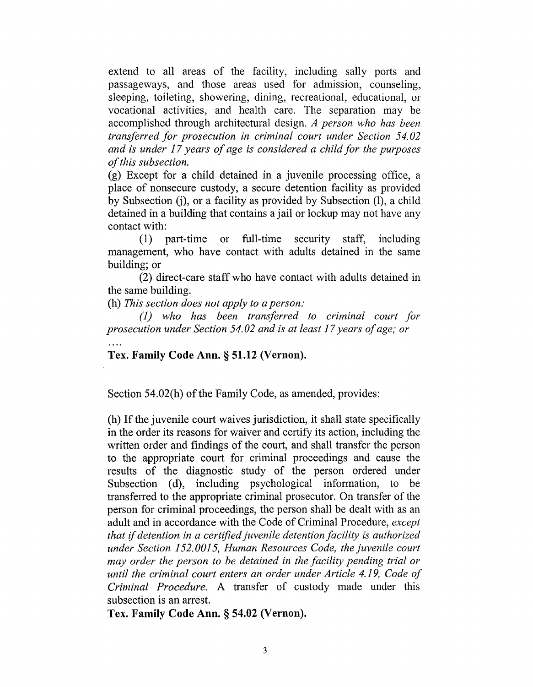extend to all areas of the facility, including sally ports and passageways, and those areas used for admission, counseling, sleeping, toileting, showering, dining, recreational, educational, or vocational activities, and health care. The separation may be accomplished through architectural design. *A person who has been transferred for prosecution in criminal court under Section 54.02 and is under* 17 *years of age is considered a child for the purposes of this subsection.* 

(g) Except for a child detained in a juvenile processing office, a place of nonsecure custody, a secure detention facility as provided by Subsection (j), or a facility as provided by Subsection (l), a child detained in a building that contains a jail or lockup may not have any contact with:

(1) part-time or full-time security staff, including management, who have contact with adults detained in the same building; or

(2) direct-care staff who have contact with adults detained in the same building.

(h) *This section does not apply to a person:* 

*(1) who has been transferred to criminal court for prosecution under Section 54.02 and is at least* 17 *years of age; or* 

**Tex. Family Code Ann. § 51.12 (Vernon).** 

Section 54.02(h) of the Family Code, as amended, provides:

(h) If the juvenile court waives jurisdiction, it shall state specifically in the order its reasons for waiver and certify its action, including the written order and findings of the court, and shall transfer the person to the appropriate court for criminal proceedings and cause the results of the diagnostic study of the person ordered under Subsection (d), including psychological information, to be transferred to the appropriate criminal prosecutor. On transfer of the person for criminal proceedings, the person shall be dealt with as an adult and in accordance with the Code of Criminal Procedure, *except that* if *detention in a certified juvenile detention facility is authorized under Section 152.0015, Human Resources Code, the juvenile court may order the person to be detained in the facility pending trial or until the criminal court enters an order under Article* 4.19, *Code of Criminal Procedure.* A transfer of custody made under this subsection is an arrest.

**Tex. Family Code Ann. § 54.02 (Vernon).**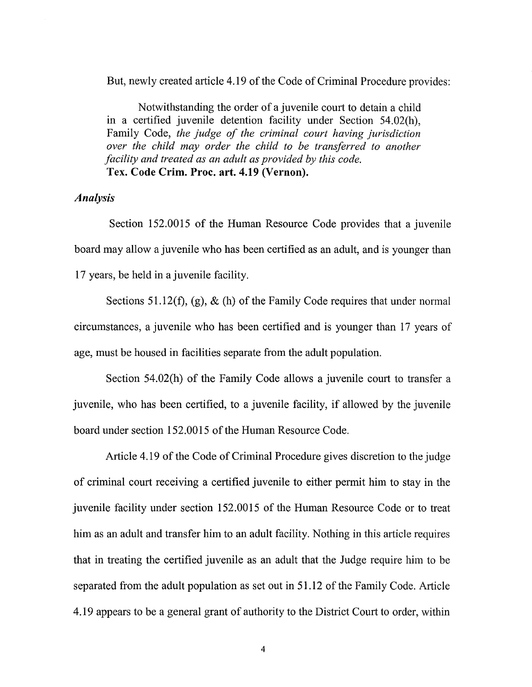But, newly created article 4.19 of the Code of Criminal Procedure provides:

Notwithstanding the order of a juvenile court to detain a child in a certified juvenile detention facility under Section 54.02(h), Family Code, *the judge of the criminal court having jurisdiction over the child may order the child to be transferred to another facility and treated as an adult as provided by this code.*  Tex. Code Crim. Proc. art. 4.19 (Vernon).

# *Analysis*

Section 152.0015 of the Human Resource Code provides that a juvenile board may allow a juvenile who has been certified as an adult, and is younger than 17 years, be held in a juvenile facility.

Sections 51.12(f), (g),  $\&$  (h) of the Family Code requires that under normal circumstances, a juvenile who has been certified and is younger than 17 years of age, must be housed in facilities separate from the adult population.

Section 54.02(h) of the Family Code allows a juvenile court to transfer a juvenile, who has been certified, to a juvenile facility, if allowed by the juvenile board under section 152.0015 of the Human Resource Code.

Article 4.19 of the Code of Criminal Procedure gives discretion to the judge of criminal court receiving a certified juvenile to either permit him to stay in the juvenile facility under section 152.0015 of the Human Resource Code or to treat him as an adult and transfer him to an adult facility. Nothing in this article requires that in treating the certified juvenile as an adult that the Judge require him to be separated from the adult population as set out in 51.12 of the Family Code. Article 4.19 appears to be a general grant of authority to the District Court to order, within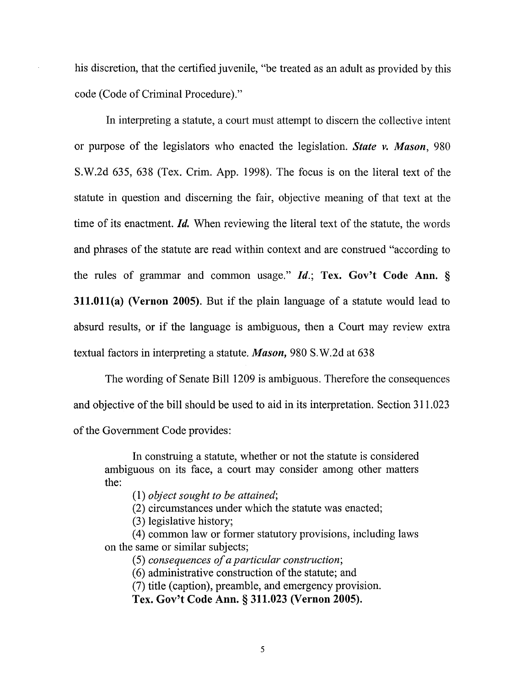his discretion, that the certified juvenile, "be treated as an adult as provided by this code (Code of Criminal Procedure)."

In interpreting a statute, a court must attempt to discern the collective intent or purpose of the legislators who enacted the legislation. *State v. Mason, 980*  S.W.2d 635, 638 (Tex. Crim. App. 1998). The focus is on the literal text of the statute in question and discerning the fair, objective meaning of that text at the time of its enactment. *Id.* When reviewing the literal text of the statute, the words and phrases of the statute are read within context and are construed "according to the rules of grammar and common usage." *Id.;* Tex. Gov't Code Ann. § 311.011(a) (Vernon 2005). But if the plain language of a statute would lead to absurd results, or if the language is ambiguous, then a Court may review extra textual factors in interpreting a statute. *Mason,* 980 S.W.2d at 638

The wording of Senate Bill 1209 is ambiguous. Therefore the consequences and objective of the bill should be used to aid in its interpretation. Section 311.023 of the Government Code provides:

In construing a statute, whether or not the statute is considered ambiguous on its face, a court may consider among other matters the:

*(1) object sought to be attained;* 

(2) circumstances under which the statute was enacted;

(3) legislative history;

(4) common law or former statutory provisions, including laws on the same or similar subjects;

*(5) consequences of a particular construction;* 

(6) administrative construction of the statute; and

(7) title (caption), preamble, and emergency provision.

Tex. Gov't Code Ann. § 311.023 (Vernon 2005).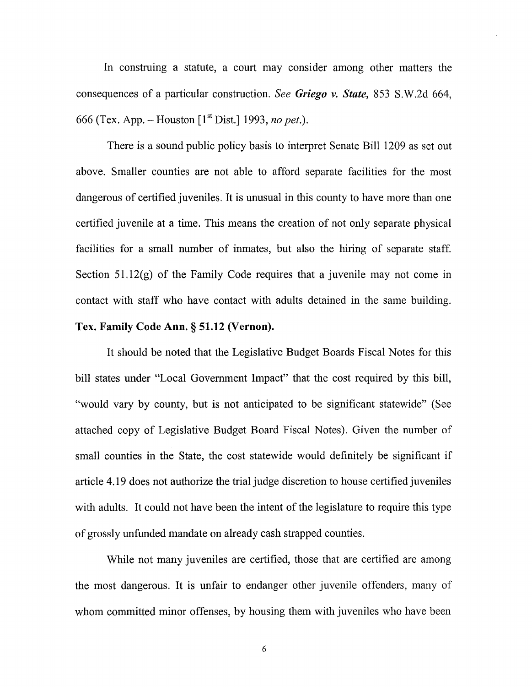In construing a statute, a court may consider among other matters the consequences of a particular construction. *See Griego v. State,* 853 S.W.2d 664, 666 (Tex. App. - Houston [1 st Dist.] 1993, *no pet.).* 

There is a sound public policy basis to interpret Senate Bill 1209 as set out above. Smaller counties are not able to afford separate facilities for the most dangerous of certified juveniles. It is unusual in this county to have more than one certified juvenile at a time. This means the creation of not only separate physical facilities for a small number of inmates, but also the hiring of separate staff. Section  $51.12(g)$  of the Family Code requires that a juvenile may not come in contact with staff who have contact with adults detained in the same building. Tex. Family Code Ann. § 51.12 (Vernon).

It should be noted that the Legislative Budget Boards Fiscal Notes for this bill states under "Local Government Impact" that the cost required by this bill, "would vary by county, but is not anticipated to be significant statewide" (See attached copy of Legislative Budget Board Fiscal Notes). Given the number of small counties in the State, the cost statewide would definitely be significant if article 4.19 does not authorize the trial judge discretion to house certified juveniles with adults. It could not have been the intent of the legislature to require this type of grossly unfunded mandate on already cash strapped counties.

While not many juveniles are certified, those that are certified are among the most dangerous. It is unfair to endanger other juvenile offenders, many of whom committed minor offenses, by housing them with juveniles who have been

6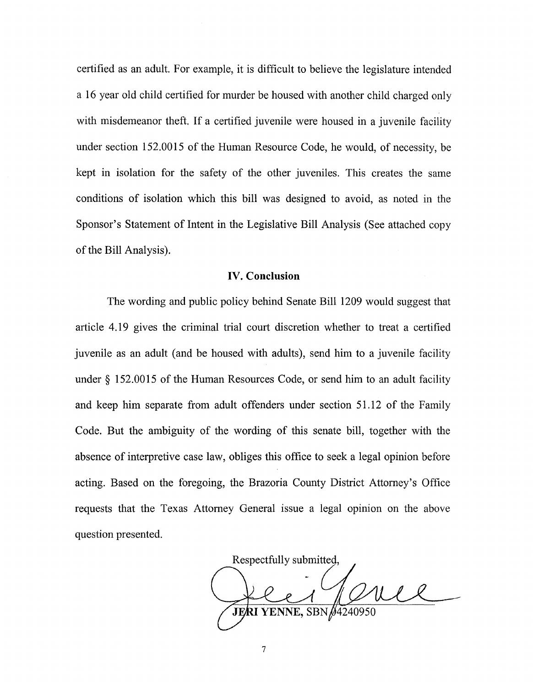certified as an adult. For example, it is difficult to believe the legislature intended a 16 year old child certified for murder be housed with another child charged only with misdemeanor theft. If a certified juvenile were housed in a juvenile facility under section 152.0015 of the Human Resource Code, he would, of necessity, be kept in isolation for the safety of the other juveniles. This creates the same conditions of isolation which this bill was designed to avoid, as noted in the Sponsor's Statement of Intent in the Legislative Bill Analysis (See attached copy of the Bill Analysis).

## **IV. Conclusion**

The wording and public policy behind Senate Bill 1209 would suggest that article 4.19 gives the criminal trial court discretion whether to treat a certified juvenile as an adult (and be housed with adults), send him to a juvenile facility under § 152.0015 of the Human Resources Code, or send him to an adult facility and keep him separate from adult offenders under section 51.12 of the Family Code. But the ambiguity of the wording of this senate bill, together with the absence of interpretive case law, obliges this office to seek a legal opinion before acting. Based on the foregoing, the Brazoria County District Attorney's Office requests that the Texas Attorney General issue a legal opinion on the above question presented.

Respectfully submitted, uel JERI YENNE.